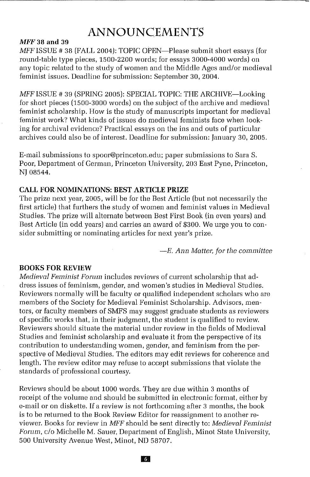# **ANNOUNCEMENTS**

#### *MFF38* **and 39**

*MFFISSUE* # 38 (FALL 2004): TOPIC OPEN-Please submit short essays (for round-table type pieces, 1500-2200 words; for essays 3000-4000 words) on any topic related to the study of women and the Middle Ages and/or medieval feminist issues. Deadline for submission: September 30, 2004,

*MFF* ISSUE # 39 (SPRING 2005): SPECIAL TOPIC: THE ARCHIVE-Looking for short pieces (1500-3000 words) on the subject of the archive and medieval feminist scholarship. How is the study of manuscripts important for medieval feminist work? What kinds of issues do medieval feminists face when looking for archival evidence? Practical essays on the ins and outs of particular archives could also be of interest. Deadline for submission: January 30, 2005,

E-mail submissions to spoor@princeton.edu; paper submissions to Sara S. Poor, Department of German, Princeton University, 203 East Pyne, Princeton, NJ 08544.

#### CALL **FOR** NOMINATIONS: **BESTARTICLE PRIZE**

The prize next year, 2005, will be for the Best Article (but not necessarily the first article) that furthers the study of women and feminist values in Medieval Studies. The prize will alternate between Best First Book (in even years) and Best Article (in odd years) and carries an award of \$300. We urge you to consider submitting or nominating articles for next year's prize,

*-E. Ann Matter, for the committee*

#### **BOOKSFOR REVIEW**

*Medieval Feminist Forum* includes reviews of current scholarship that address issues of feminism, gender, and women's studies in Medieval Studies. Reviewers normally will be faculty or qualified independent scholars who are members of the Society for Medieval Feminist Scholarship, Advisors, mentors, or faculty members of SMFS may suggest graduate students as reviewers of specific works that, in their judgment, the student is qualified to review, Reviewers should situate the material under review in the fields of Medieval Studies and feminist scholarship and evaluate it from the perspective of its contribution to understanding women, gender, and feminism from the perspective of Medieval Studies. The editors may edit reviews for coherence and length. The review editor may refuse to accept submissions that violate the standards of professional courtesy.

Reviews should be about 1000 words. They are due within 3 months of receipt of the volume and should be submitted in electronic format, either by e-mail or on diskette. If a review is not forthcoming after 3 months, the book is to be returned to the Book Review Editor for reassignment to another reviewer. Books for review in *MFF* should be sent directly to: *Medieval Feminist Forum,* c/o Michelle M. Sauer, Department of English, Minot State University, 500 University Avenue West, Minot, ND 58707.

的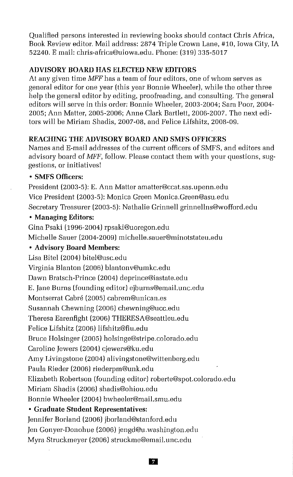Qualified persons interested in reviewing books should contact Chris Africa, Book Review editor, Mail address: 2874 Triple Crown Lane, #10, Iowa City, IA 52240. Email: chris-africa@uiowa.edu. Phone: (319) 335-5017

# **ADVISORY BOARD HAS ELECTED NEW EDITORS**

At any given time *MFF* has a team of four editors, one of whom serves as general editor for one year (this year Bonnie Wheeler), while the other three help the general editor by editing, proofreading, and consulting. The general editors will serve in this order: Bonnie Wheeler, 2003-2004; Sara Poor, 2004- 2005; Ann Matter, 2005-2006; Anne Clark Bartlett, 2006-2007. The next editors will be Miriam Shadis, 2007-08, and Felice Lifshitz, 2008-09,

# **REACHING THE ADVISORY BOARD AND SMFS OFFICERS**

Names and E-mail addresses of the current officers of SMFS, and editors and advisory board of *MFF,* follow. Please contact them with your questions, suggestions, or initiatives!

# **• SMFS Officers:**

President (2003-5): E. Ann Matter amatter@ccat.sas.upenn.edu Vice President (2003-5): Monica Green Monica.Green@asu,edu Secretary Treasurer (2003-5): Nathalie Grinnell grinnellns@wofford.edu

## **• Managing Editors:**

Gina Psaki (1996-2004) rpsaki@uoregon.edu

Michelle Sauer (2004-2009) michelle.sauer@minotstateu.edu

# **• Advisory Board Members:**

Lisa Bitel (2004) bitel@usc.edu

Virginia Blanton (2006) blantonv@umkc.edu

Dawn Bratsch-Prince (2004) deprince@iastate.edu

E. Jane Burns (founding editor) ejburns@email.unc.edu

Montserrat Cabré (2005) cabrem@unican.es

Susannah Chewning (2006) chewning@ucc.edu

Theresa Earenfight (2006) THERESA@seattleu.edu

Felice Lifshitz (2006) lifshitz@fiu.edu

Bruce Holsinger (2005) holsinge@stripe.colorado.edu

Caroline Jewers (2004) cjewers@ku.edu

Amy Livingstone (2004) alivingstone@wittenberg.edu

Paula Rieder (2006) riederpm@unk.edu

Elizabeth Robertson (founding editor) roberte@spot.colorado.edu

Miriam Shadis (2006) shadis@ohiou.edu

Bonnie Wheeler (2004) bwheeler@mail.smu.edu

# **• Graduate Student Representatives:**

Jennifer Borland (2006) jborland@stanford.edu

Jen Gonyer-Donohue (2006) jengd@u.washington.edu

Myra Struckmeyer (2006) struckme@email.unc.edu